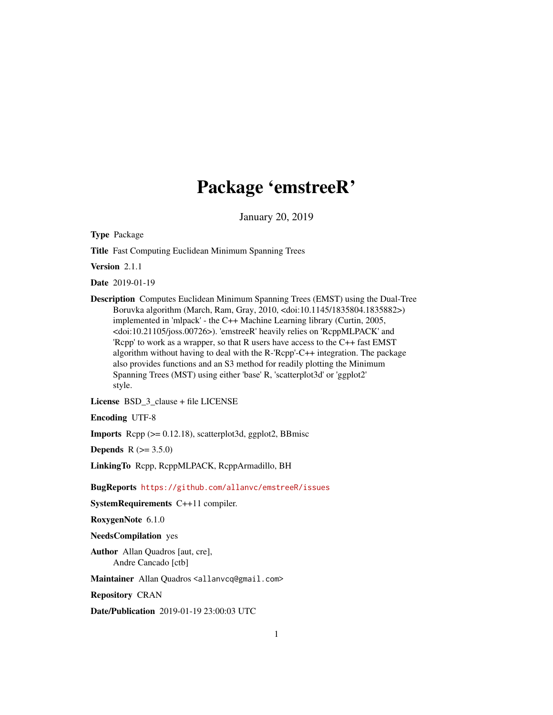## Package 'emstreeR'

January 20, 2019

<span id="page-0-0"></span>Type Package

Title Fast Computing Euclidean Minimum Spanning Trees

Version 2.1.1

Date 2019-01-19

Description Computes Euclidean Minimum Spanning Trees (EMST) using the Dual-Tree Boruvka algorithm (March, Ram, Gray, 2010, <doi:10.1145/1835804.1835882>) implemented in 'mlpack' - the C++ Machine Learning library (Curtin, 2005, <doi:10.21105/joss.00726>). 'emstreeR' heavily relies on 'RcppMLPACK' and 'Rcpp' to work as a wrapper, so that R users have access to the C++ fast EMST algorithm without having to deal with the R-'Rcpp'-C++ integration. The package also provides functions and an S3 method for readily plotting the Minimum Spanning Trees (MST) using either 'base' R, 'scatterplot3d' or 'ggplot2' style.

License BSD\_3\_clause + file LICENSE

Encoding UTF-8

Imports Rcpp (>= 0.12.18), scatterplot3d, ggplot2, BBmisc

**Depends**  $R (= 3.5.0)$ 

LinkingTo Rcpp, RcppMLPACK, RcppArmadillo, BH

BugReports <https://github.com/allanvc/emstreeR/issues>

SystemRequirements C++11 compiler.

RoxygenNote 6.1.0

#### NeedsCompilation yes

Author Allan Quadros [aut, cre], Andre Cancado [ctb]

Maintainer Allan Quadros <allanvcq@gmail.com>

Repository CRAN

Date/Publication 2019-01-19 23:00:03 UTC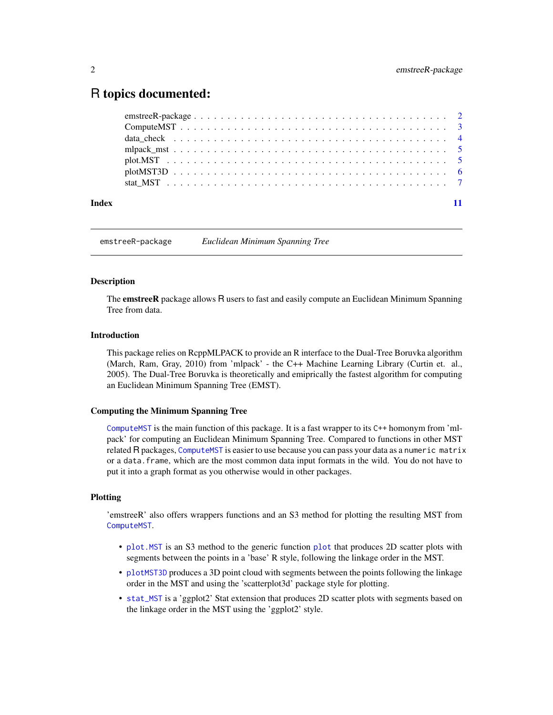### <span id="page-1-0"></span>R topics documented:

| Index |  |
|-------|--|

emstreeR-package *Euclidean Minimum Spanning Tree*

#### **Description**

The **emstreeR** package allows R users to fast and easily compute an Euclidean Minimum Spanning Tree from data.

#### Introduction

This package relies on RcppMLPACK to provide an R interface to the Dual-Tree Boruvka algorithm (March, Ram, Gray, 2010) from 'mlpack' - the C++ Machine Learning Library (Curtin et. al., 2005). The Dual-Tree Boruvka is theoretically and emiprically the fastest algorithm for computing an Euclidean Minimum Spanning Tree (EMST).

#### Computing the Minimum Spanning Tree

[ComputeMST](#page-2-1) is the main function of this package. It is a fast wrapper to its C++ homonym from 'mlpack' for computing an Euclidean Minimum Spanning Tree. Compared to functions in other MST related R packages, [ComputeMST](#page-2-1) is easier to use because you can pass your data as a numeric matrix or a data.frame, which are the most common data input formats in the wild. You do not have to put it into a graph format as you otherwise would in other packages.

#### Plotting

'emstreeR' also offers wrappers functions and an S3 method for plotting the resulting MST from [ComputeMST](#page-2-1).

- [plot.MST](#page-4-1) is an S3 method to the generic function [plot](#page-0-0) that produces 2D scatter plots with segments between the points in a 'base' R style, following the linkage order in the MST.
- [plotMST3D](#page-5-1) produces a 3D point cloud with segments between the points following the linkage order in the MST and using the 'scatterplot3d' package style for plotting.
- [stat\\_MST](#page-6-1) is a 'ggplot2' Stat extension that produces 2D scatter plots with segments based on the linkage order in the MST using the 'ggplot2' style.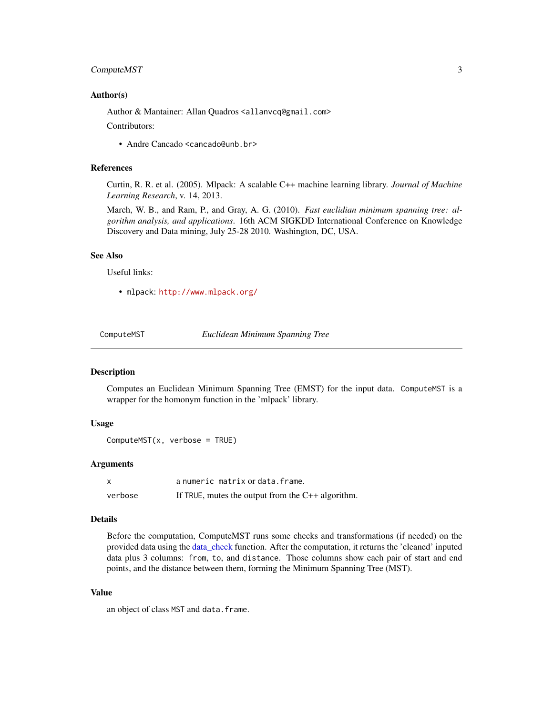#### <span id="page-2-0"></span>Compute MST 3

#### Author(s)

Author & Mantainer: Allan Quadros <allanvcq@gmail.com>

Contributors:

• Andre Cancado <cancado@unb.br>

#### References

Curtin, R. R. et al. (2005). Mlpack: A scalable C++ machine learning library. *Journal of Machine Learning Research*, v. 14, 2013.

March, W. B., and Ram, P., and Gray, A. G. (2010). *Fast euclidian minimum spanning tree: algorithm analysis, and applications*. 16th ACM SIGKDD International Conference on Knowledge Discovery and Data mining, July 25-28 2010. Washington, DC, USA.

#### See Also

Useful links:

• mlpack: <http://www.mlpack.org/>

<span id="page-2-1"></span>ComputeMST *Euclidean Minimum Spanning Tree*

#### Description

Computes an Euclidean Minimum Spanning Tree (EMST) for the input data. ComputeMST is a wrapper for the homonym function in the 'mlpack' library.

#### Usage

```
ComputeMST(x, verbose = TRUE)
```
#### Arguments

|         | a numeric matrix or data. frame.                    |
|---------|-----------------------------------------------------|
| verbose | If TRUE, mutes the output from the $C++$ algorithm. |

#### Details

Before the computation, ComputeMST runs some checks and transformations (if needed) on the provided data using the [data\\_check](#page-3-1) function. After the computation, it returns the 'cleaned' inputed data plus 3 columns: from, to, and distance. Those columns show each pair of start and end points, and the distance between them, forming the Minimum Spanning Tree (MST).

#### Value

an object of class MST and data.frame.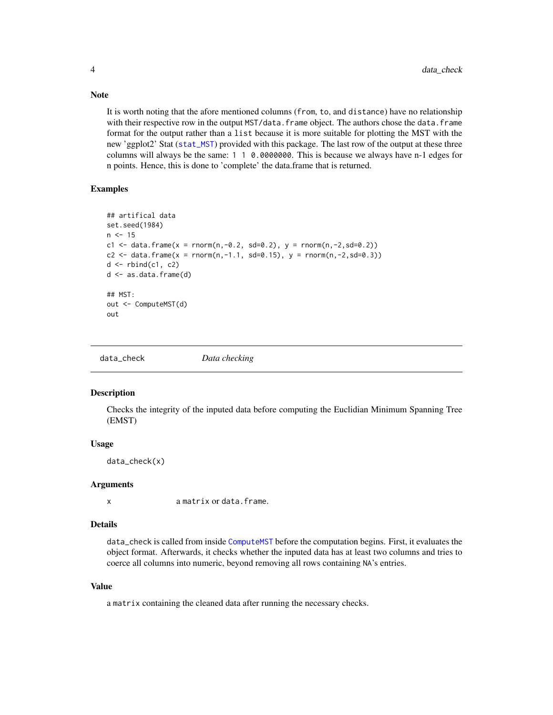It is worth noting that the afore mentioned columns (from, to, and distance) have no relationship with their respective row in the output MST/data. frame object. The authors chose the data. frame format for the output rather than a list because it is more suitable for plotting the MST with the new 'ggplot2' Stat ([stat\\_MST](#page-6-1)) provided with this package. The last row of the output at these three columns will always be the same: 1 1 0.0000000. This is because we always have n-1 edges for n points. Hence, this is done to 'complete' the data.frame that is returned.

#### Examples

```
## artifical data
set.seed(1984)
n < -15c1 <- data.frame(x = rnorm(n,-0.2, sd=0.2), y = rnorm(n,-2,sd=0.2))
c2 <- data.frame(x = rnorm(n,-1.1, sd=0.15), y = rnorm(n,-2,sd=0.3))
d \leq -rbind(c1, c2)d <- as.data.frame(d)
## MST:
out <- ComputeMST(d)
out
```
<span id="page-3-1"></span>data\_check *Data checking*

#### Description

Checks the integrity of the inputed data before computing the Euclidian Minimum Spanning Tree (EMST)

#### Usage

data\_check(x)

#### Arguments

x a matrix or data.frame.

#### Details

data\_check is called from inside [ComputeMST](#page-2-1) before the computation begins. First, it evaluates the object format. Afterwards, it checks whether the inputed data has at least two columns and tries to coerce all columns into numeric, beyond removing all rows containing NA's entries.

#### Value

a matrix containing the cleaned data after running the necessary checks.

<span id="page-3-0"></span>

#### Note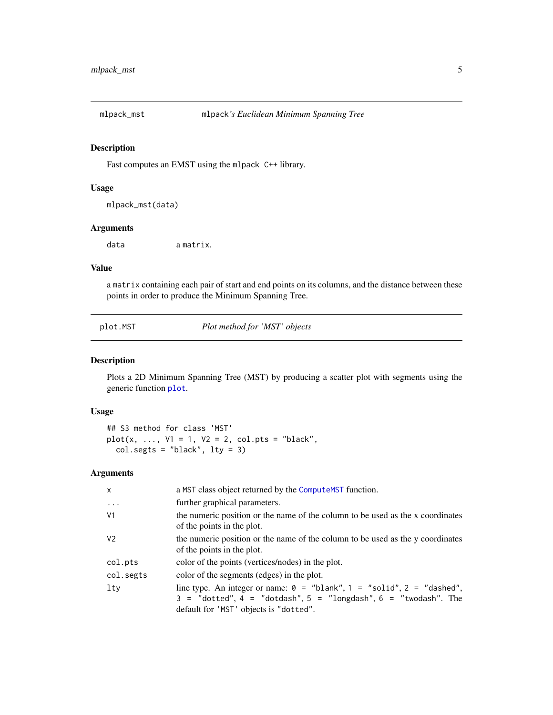<span id="page-4-0"></span>

#### Description

Fast computes an EMST using the mlpack C++ library.

#### Usage

mlpack\_mst(data)

#### Arguments

data a matrix.

#### Value

a matrix containing each pair of start and end points on its columns, and the distance between these points in order to produce the Minimum Spanning Tree.

<span id="page-4-1"></span>plot.MST *Plot method for 'MST' objects*

#### Description

Plots a 2D Minimum Spanning Tree (MST) by producing a scatter plot with segments using the generic function [plot](#page-0-0).

#### Usage

## S3 method for class 'MST'  $plot(x, ..., V1 = 1, V2 = 2, col.pts = "black",$  $col.segts = "black", lty = 3)$ 

#### Arguments

| x         | a MST class object returned by the Compute MST function.                                                                                                                                          |
|-----------|---------------------------------------------------------------------------------------------------------------------------------------------------------------------------------------------------|
| $\ddots$  | further graphical parameters.                                                                                                                                                                     |
| ٧1        | the numeric position or the name of the column to be used as the x coordinates<br>of the points in the plot.                                                                                      |
| V2        | the numeric position or the name of the column to be used as the y coordinates<br>of the points in the plot.                                                                                      |
| col.pts   | color of the points (vertices/nodes) in the plot.                                                                                                                                                 |
| col.segts | color of the segments (edges) in the plot.                                                                                                                                                        |
| lty       | line type. An integer or name: $0 =$ "blank", $1 =$ "solid", $2 =$ "dashed",<br>$3 =$ "dotted", $4 =$ "dotdash", $5 =$ "longdash", $6 =$ "twodash". The<br>default for 'MST' objects is "dotted". |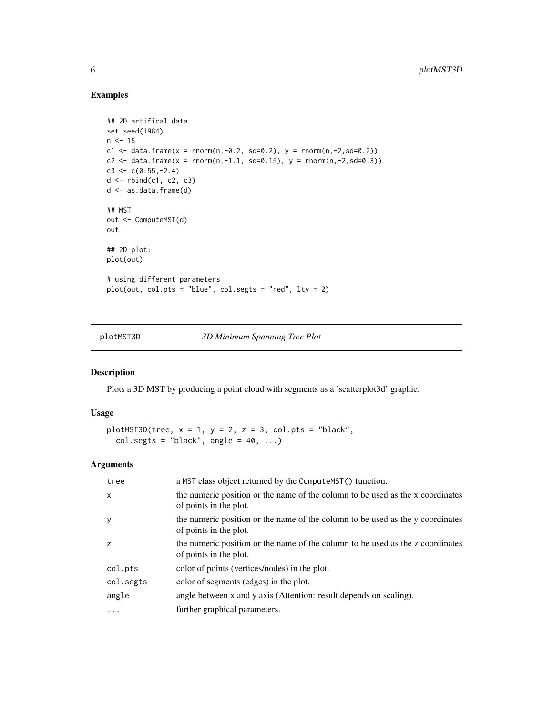#### Examples

```
## 2D artifical data
set.seed(1984)
n < -15c1 <- data.frame(x = \text{norm}(n, -0.2, sd=0.2), y = \text{norm}(n, -2, sd=0.2))
c2 <- data.frame(x = rnorm(n,-1.1, sd=0.15), y = rnorm(n,-2,sd=0.3))
c3 \leq c(0.55, -2.4)d \leftarrow \text{rbind}(c1, c2, c3)d <- as.data.frame(d)
## MST:
out <- ComputeMST(d)
out
## 2D plot:
plot(out)
# using different parameters
plot(out, col.pts = "blue", col.segts = "red", lty = 2)
```
<span id="page-5-1"></span>plotMST3D *3D Minimum Spanning Tree Plot*

#### Description

Plots a 3D MST by producing a point cloud with segments as a 'scatterplot3d' graphic.

#### Usage

```
plotMST3D(tree, x = 1, y = 2, z = 3, col.pts = "black",
 col.segts = "black", angle = 40, ...)
```
#### Arguments

| tree         | a MST class object returned by the ComputeMST() function.                                                |
|--------------|----------------------------------------------------------------------------------------------------------|
| $\mathsf{x}$ | the numeric position or the name of the column to be used as the x coordinates<br>of points in the plot. |
| y            | the numeric position or the name of the column to be used as the y coordinates<br>of points in the plot. |
| z            | the numeric position or the name of the column to be used as the z coordinates<br>of points in the plot. |
| col.pts      | color of points (vertices/nodes) in the plot.                                                            |
| col.segts    | color of segments (edges) in the plot.                                                                   |
| angle        | angle between x and y axis (Attention: result depends on scaling).                                       |
| .            | further graphical parameters.                                                                            |

<span id="page-5-0"></span>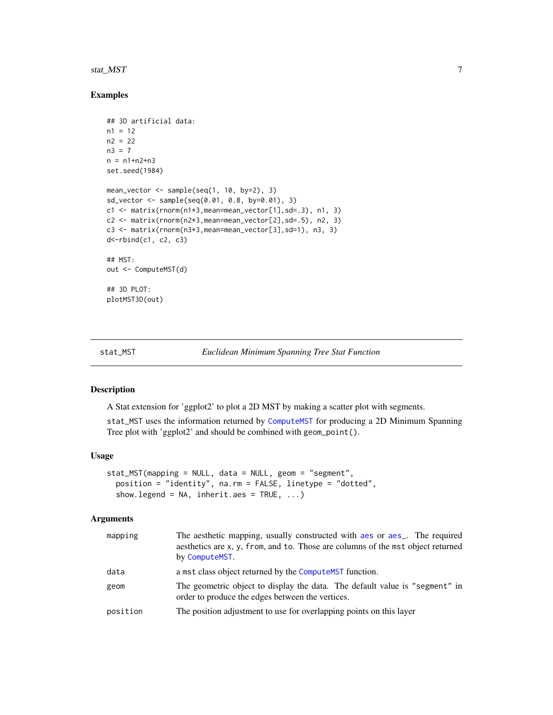#### <span id="page-6-0"></span>stat\_MST 7 7

#### Examples

```
## 3D artificial data:
n1 = 12n2 = 22n3 = 7n = n1+n2+n3set.seed(1984)
mean_vector <- sample(seq(1, 10, by=2), 3)
sd_vector <- sample(seq(0.01, 0.8, by=0.01), 3)
c1 <- matrix(rnorm(n1*3,mean=mean_vector[1],sd=.3), n1, 3)
c2 <- matrix(rnorm(n2*3,mean=mean_vector[2],sd=.5), n2, 3)
c3 <- matrix(rnorm(n3*3,mean=mean_vector[3],sd=1), n3, 3)
d<-rbind(c1, c2, c3)
## MST:
out <- ComputeMST(d)
## 3D PLOT:
plotMST3D(out)
```
<span id="page-6-1"></span>

```
stat_MST Euclidean Minimum Spanning Tree Stat Function
```
#### Description

A Stat extension for 'ggplot2' to plot a 2D MST by making a scatter plot with segments.

stat\_MST uses the information returned by [ComputeMST](#page-2-1) for producing a 2D Minimum Spanning Tree plot with 'ggplot2' and should be combined with geom\_point().

#### Usage

```
stat_MST(mapping = NULL, data = NULL, geom = "segment",
 position = "identity", na.rm = FALSE, linetype = "dotted",
  show.legend = NA, inherit.aes = TRUE, ...)
```
#### Arguments

| mapping  | The aesthetic mapping, usually constructed with a es or a es_. The required<br>aesthetics are x, y, from, and to. Those are columns of the mst object returned<br>by ComputeMST. |
|----------|----------------------------------------------------------------------------------------------------------------------------------------------------------------------------------|
| data     | a mst class object returned by the Compute MST function.                                                                                                                         |
| geom     | The geometric object to display the data. The default value is "segment" in<br>order to produce the edges between the vertices.                                                  |
| position | The position adjustment to use for overlapping points on this layer                                                                                                              |
|          |                                                                                                                                                                                  |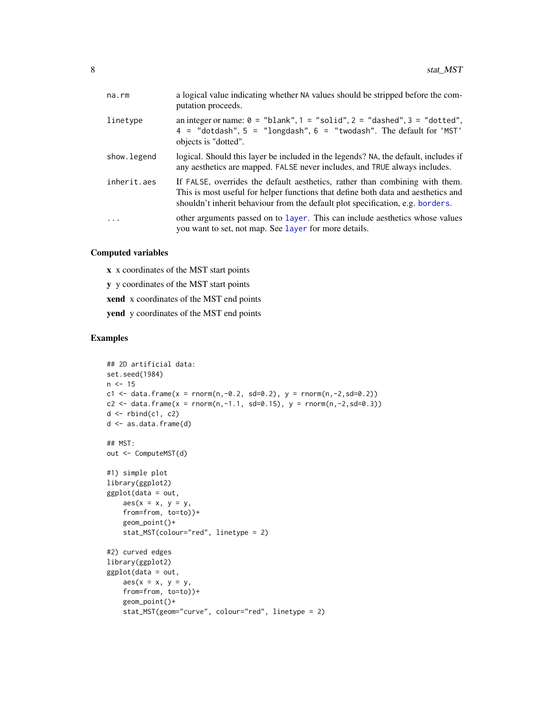<span id="page-7-0"></span>

| na.rm       | a logical value indicating whether NA values should be stripped before the com-<br>putation proceeds.                                                                                                                                               |
|-------------|-----------------------------------------------------------------------------------------------------------------------------------------------------------------------------------------------------------------------------------------------------|
| linetype    | an integer or name: $0 =$ "blank", $1 =$ "solid", $2 =$ "dashed", $3 =$ "dotted",<br>$4 =$ "dotdash", $5 =$ "longdash", $6 =$ "twodash". The default for 'MST'<br>objects is "dotted".                                                              |
| show.legend | logical. Should this layer be included in the legends? NA, the default, includes if<br>any aesthetics are mapped. FALSE never includes, and TRUE always includes.                                                                                   |
| inherit.aes | If FALSE, overrides the default aesthetics, rather than combining with them.<br>This is most useful for helper functions that define both data and aesthetics and<br>shouldn't inherit behaviour from the default plot specification, e.g. borders. |
| $\ddots$ .  | other arguments passed on to layer. This can include aesthetics whose values<br>you want to set, not map. See layer for more details.                                                                                                               |

#### Computed variables

x x coordinates of the MST start points

y y coordinates of the MST start points

xend x coordinates of the MST end points

yend y coordinates of the MST end points

#### Examples

```
## 2D artificial data:
set.seed(1984)
n < -15c1 <- data.frame(x = rnorm(n,-0.2, sd=0.2), y = rnorm(n,-2,sd=0.2))
c2 <- data.frame(x = rnorm(n,-1.1, sd=0.15), y = rnorm(n,-2,sd=0.3))
d \leftarrow \text{rbind}(c1, c2)d <- as.data.frame(d)
## MST:
out <- ComputeMST(d)
#1) simple plot
library(ggplot2)
ggplot(data = out,
    \text{aes}(x = x, y = y,from=from, to=to))+
    geom_point()+
    stat_MST(colour="red", linetype = 2)
#2) curved edges
library(ggplot2)
ggplot(data = out,
    aes(x = x, y = y,from=from, to=to))+
    geom_point()+
    stat_MST(geom="curve", colour="red", linetype = 2)
```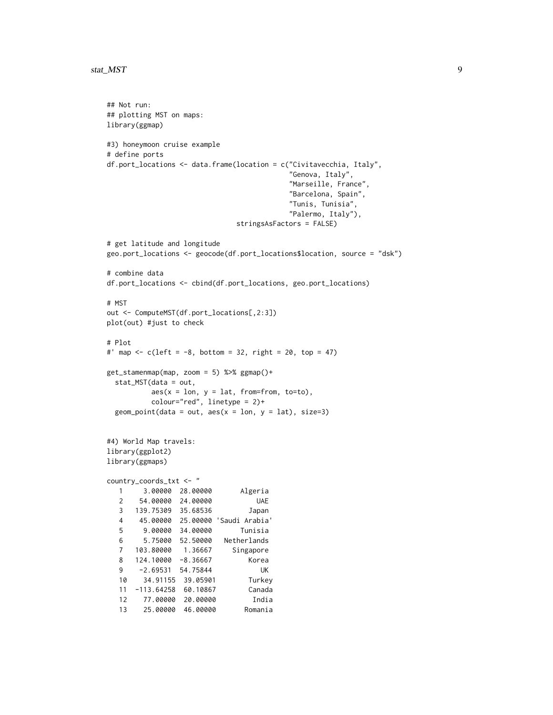#### stat\_MST 99

## Not run:

```
## plotting MST on maps:
library(ggmap)
#3) honeymoon cruise example
# define ports
df.port_locations <- data.frame(location = c("Civitavecchia, Italy",
                                          "Genova, Italy",
                                          "Marseille, France",
                                          "Barcelona, Spain",
                                          "Tunis, Tunisia",
                                          "Palermo, Italy"),
                              stringsAsFactors = FALSE)
# get latitude and longitude
geo.port_locations <- geocode(df.port_locations$location, source = "dsk")
# combine data
df.port_locations <- cbind(df.port_locations, geo.port_locations)
# MST
out <- ComputeMST(df.port_locations[,2:3])
plot(out) #just to check
# Plot
#' map <- c(\text{left} = -8, \text{ bottom} = 32, \text{ right} = 20, \text{ top} = 47)get_stamenmap(map, zoom = 5) %>% ggmap()+
 stat_MST(data = out,
          aes(x = lon, y = lat, from=from, to=to),colour="red", linetype = 2)+
 geom\_point(data = out, aes(x = lon, y = lat), size=3)#4) World Map travels:
library(ggplot2)
library(ggmaps)
country_coords_txt <- "
  1 3.00000 28.00000 Algeria
  2 54.00000 24.00000 UAE
  3 139.75309 35.68536 Japan
  4 45.00000 25.00000 'Saudi Arabia'
  5 9.00000 34.00000 Tunisia
  6 5.75000 52.50000 Netherlands
  7 103.80000 1.36667 Singapore
  8 124.10000 -8.36667 Korea
  9 -2.69531 54.75844 UK
  10 34.91155 39.05901 Turkey
  11 -113.64258 60.10867 Canada
  12 77.00000 20.00000 India
  13 25.00000 46.00000 Romania
```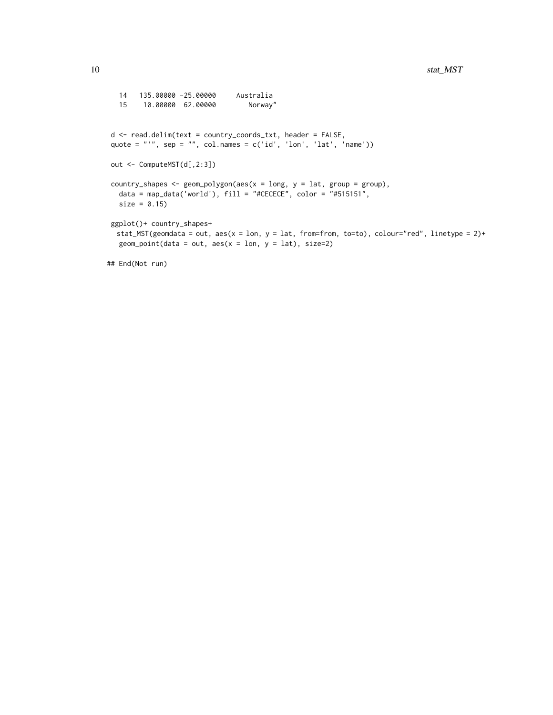```
14 135.00000 -25.00000 Australia
  15 10.00000 62.00000 Norway"
d <- read.delim(text = country_coords_txt, header = FALSE,
quote = "'", sep = "", col.names = c('id', 'lon', 'lat', 'name'))out <- ComputeMST(d[,2:3])
country_shapes \leq geom_polygon(aes(x = long, y = lat, group = group),
  data = map_data('world'), fill = "#CECECE", color = "#515151",
  size = 0.15ggplot()+ country_shapes+
  stat_MST(geomdata = out, aes(x = lon, y = lat, from=from, to=to), colour="red", linetype = 2)+geom\_point(data = out, aes(x = lon, y = lat), size=2)## End(Not run)
```